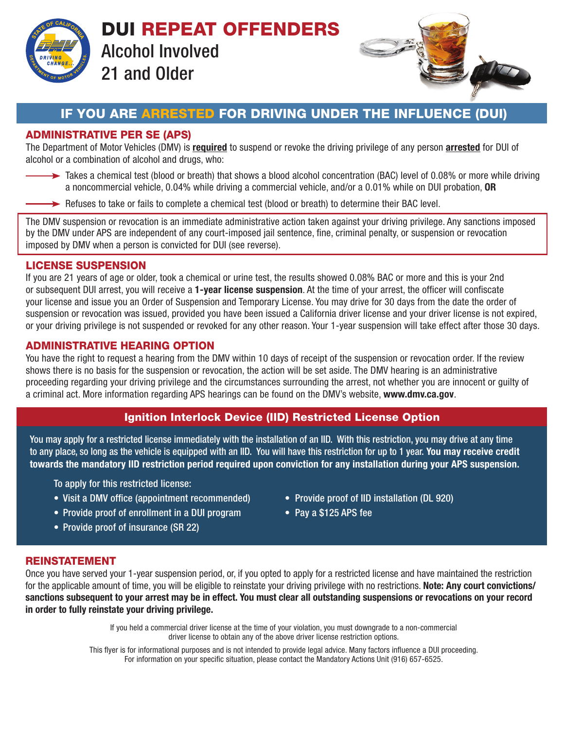

DUI REPEAT OFFENDERS Alcohol Involved 21 and Older



# IF YOU ARE ARRESTED FOR DRIVING UNDER THE INFLUENCE (DUI)

## ADMINISTRATIVE PER SE (APS)

The Department of Motor Vehicles (DMV) is required to suspend or revoke the driving privilege of any person arrested for DUI of alcohol or a combination of alcohol and drugs, who:

- Takes a chemical test (blood or breath) that shows a blood alcohol concentration (BAC) level of 0.08% or more while driving a noncommercial vehicle, 0.04% while driving a commercial vehicle, and/or a 0.01% while on DUI probation, OR
- $\rightarrow$  Refuses to take or fails to complete a chemical test (blood or breath) to determine their BAC level.

The DMV suspension or revocation is an immediate administrative action taken against your driving privilege. Any sanctions imposed by the DMV under APS are independent of any court-imposed jail sentence, fine, criminal penalty, or suspension or revocation imposed by DMV when a person is convicted for DUI (see reverse).

### LICENSE SUSPENSION

If you are 21 years of age or older, took a chemical or urine test, the results showed 0.08% BAC or more and this is your 2nd or subsequent DUI arrest, you will receive a 1-year license suspension. At the time of your arrest, the officer will confiscate your license and issue you an Order of Suspension and Temporary License. You may drive for 30 days from the date the order of suspension or revocation was issued, provided you have been issued a California driver license and your driver license is not expired, or your driving privilege is not suspended or revoked for any other reason. Your 1-year suspension will take effect after those 30 days.

### ADMINISTRATIVE HEARING OPTION

You have the right to request a hearing from the DMV within 10 days of receipt of the suspension or revocation order. If the review shows there is no basis for the suspension or revocation, the action will be set aside. The DMV hearing is an administrative proceeding regarding your driving privilege and the circumstances surrounding the arrest, not whether you are innocent or guilty of a criminal act. More information regarding APS hearings can be found on the DMV's website, www.dmv.ca.gov.

# Ignition Interlock Device (IID) Restricted License Option

You may apply for a restricted license immediately with the installation of an IID. With this restriction, you may drive at any time to any place, so long as the vehicle is equipped with an IID. You will have this restriction for up to 1 year. You may receive credit towards the mandatory IID restriction period required upon conviction for any installation during your APS suspension.

To apply for this restricted license:

- Visit a DMV office (appointment recommended) Provide proof of IID installation (DL 920)
- Provide proof of enrollment in a DUI program Pay a \$125 APS fee
- Provide proof of insurance (SR 22)
- 
- 

### REINSTATEMENT

Once you have served your 1-year suspension period, or, if you opted to apply for a restricted license and have maintained the restriction for the applicable amount of time, you will be eligible to reinstate your driving privilege with no restrictions. Note: Any court convictions/ sanctions subsequent to your arrest may be in effect. You must clear all outstanding suspensions or revocations on your record in order to fully reinstate your driving privilege.

> If you held a commercial driver license at the time of your violation, you must downgrade to a non-commercial driver license to obtain any of the above driver license restriction options.

This flyer is for informational purposes and is not intended to provide legal advice. Many factors influence a DUI proceeding. For information on your specific situation, please contact the Mandatory Actions Unit (916) 657-6525.